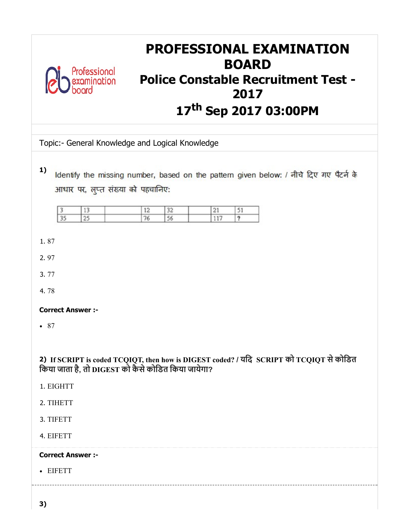| <b>PROFESSIONAL EXAMINATION</b><br><b>BOARD</b><br>Professional<br><b>Police Constable Recruitment Test -</b><br>xamination<br>2017<br>17th Sep 2017 03:00PM                                                          |
|-----------------------------------------------------------------------------------------------------------------------------------------------------------------------------------------------------------------------|
| Topic:- General Knowledge and Logical Knowledge                                                                                                                                                                       |
| 1)<br>Identify the missing number, based on the pattern given below: / नीचे दिए गए पैटर्न के<br>आधार पर, लुप्त संख्या को पहचानिए:<br>12<br>32<br>21<br>13<br>51<br>3<br>$\overline{35}$<br>25<br>76<br>56<br>117<br>? |
| 1.87                                                                                                                                                                                                                  |
| 2.97                                                                                                                                                                                                                  |
| 3.77                                                                                                                                                                                                                  |
| 4.78                                                                                                                                                                                                                  |
| <b>Correct Answer:-</b>                                                                                                                                                                                               |
| • 87                                                                                                                                                                                                                  |
| 2) If SCRIPT is coded TCQIQT, then how is DIGEST coded? / यदि SCRIPT को TCQIQT से कोडित<br>किया जाता है, तो DIGEST को कैसे कोडित किया जायेगा?<br>1. EIGHTT<br>2. TIHETT                                               |
| 3. TIFETT                                                                                                                                                                                                             |
| 4. EIFETT                                                                                                                                                                                                             |
| <b>Correct Answer :-</b>                                                                                                                                                                                              |
| • EIFETT                                                                                                                                                                                                              |
| 3)                                                                                                                                                                                                                    |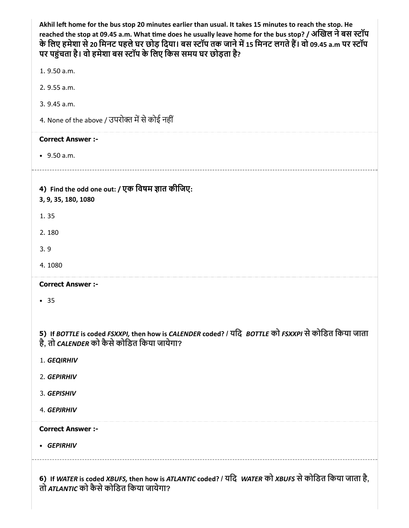| Akhil left home for the bus stop 20 minutes earlier than usual. It takes 15 minutes to reach the stop. He<br>reached the stop at 09.45 a.m. What time does he usually leave home for the bus stop? / अखिल ने बस स्टॉप<br>के लिए हमेशा से 20 मिनट पहले घर छोड़ दिया। बस स्टॉप तक जाने में 15 मिनट लगते हैं। वो 09.45 a.m पर स्टॉप<br>पर पहुंचता है। वो हमेशा बस स्टॉप के लिए किस समय घर छोड़ता है? |
|---------------------------------------------------------------------------------------------------------------------------------------------------------------------------------------------------------------------------------------------------------------------------------------------------------------------------------------------------------------------------------------------------|
| 1.9.50 a.m.                                                                                                                                                                                                                                                                                                                                                                                       |
| 2. 9.55 a.m.                                                                                                                                                                                                                                                                                                                                                                                      |
| 3. 9.45 a.m.                                                                                                                                                                                                                                                                                                                                                                                      |
| 4. None of the above / उपरोक्त में से कोई नहीं                                                                                                                                                                                                                                                                                                                                                    |
| <b>Correct Answer :-</b>                                                                                                                                                                                                                                                                                                                                                                          |
| $-9.50 a.m.$                                                                                                                                                                                                                                                                                                                                                                                      |
| 4) Find the odd one out: / एक विषम ज्ञात कीजिए:<br>3, 9, 35, 180, 1080                                                                                                                                                                                                                                                                                                                            |
| 1.35                                                                                                                                                                                                                                                                                                                                                                                              |
| 2.180                                                                                                                                                                                                                                                                                                                                                                                             |
| 3.9                                                                                                                                                                                                                                                                                                                                                                                               |
| 4.1080                                                                                                                                                                                                                                                                                                                                                                                            |
| <b>Correct Answer :-</b>                                                                                                                                                                                                                                                                                                                                                                          |
| - 35                                                                                                                                                                                                                                                                                                                                                                                              |
| 5) If BOTTLE is coded FSXXPI, then how is CALENDER coded? / यदि BOTTLE को FSXXPI से कोडित किया जाता<br>है, तो CALENDER को कैसे कोडित किया जायेगा?                                                                                                                                                                                                                                                 |
| 1. GEQIRHIV                                                                                                                                                                                                                                                                                                                                                                                       |
| 2. GEPIRHIV                                                                                                                                                                                                                                                                                                                                                                                       |
| 3. GEPISHIV                                                                                                                                                                                                                                                                                                                                                                                       |
| 4. GEPJRHIV                                                                                                                                                                                                                                                                                                                                                                                       |
| <b>Correct Answer :-</b>                                                                                                                                                                                                                                                                                                                                                                          |
| • GEPIRHIV                                                                                                                                                                                                                                                                                                                                                                                        |
| 6) If WATER is coded XBUFS, then how is ATLANTIC coded? / यदि WATER को XBUFS से कोडित किया जाता है,<br>तो ATLANTIC को कैसे कोडित किया जायेगा?                                                                                                                                                                                                                                                     |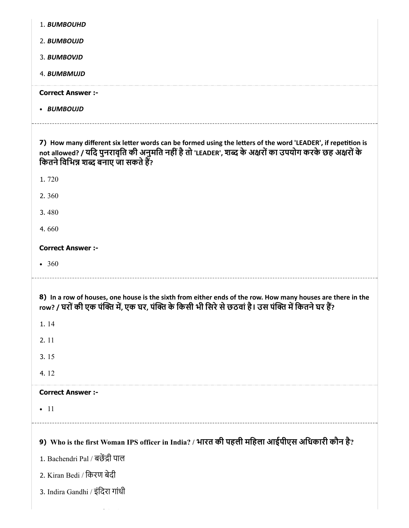| 1. BUMBOUHD                                                                                                                                                                                                                                                      |
|------------------------------------------------------------------------------------------------------------------------------------------------------------------------------------------------------------------------------------------------------------------|
| 2. BUMBOUJD                                                                                                                                                                                                                                                      |
| 3. BUMBOVJD                                                                                                                                                                                                                                                      |
| 4. BUMBMUJD                                                                                                                                                                                                                                                      |
| <b>Correct Answer :-</b>                                                                                                                                                                                                                                         |
| • BUMBOUJD                                                                                                                                                                                                                                                       |
|                                                                                                                                                                                                                                                                  |
| 7) How many different six letter words can be formed using the letters of the word 'LEADER', if repetition is<br>not allowed? / यदि पुनरावृति की अनुमति नहीं है तो 'LEADER', शब्द के अक्षरों का उपयोग करके छह अक्षरों के<br>कितने विभिन्न शब्द बनाए जा सकते हैं? |
| 1.720                                                                                                                                                                                                                                                            |
| 2.360                                                                                                                                                                                                                                                            |
| 3.480                                                                                                                                                                                                                                                            |
| 4.660                                                                                                                                                                                                                                                            |
| <b>Correct Answer :-</b>                                                                                                                                                                                                                                         |
|                                                                                                                                                                                                                                                                  |
| • 360                                                                                                                                                                                                                                                            |
|                                                                                                                                                                                                                                                                  |
| 8) In a row of houses, one house is the sixth from either ends of the row. How many houses are there in the<br>row? / घरों की एक पंक्ति में, एक घर, पंक्ति के किसी भी सिरे से छठवां है। उस पंक्ति में कितने घर हैं?                                              |
| 1.14                                                                                                                                                                                                                                                             |
| 2.11                                                                                                                                                                                                                                                             |
| 3.15                                                                                                                                                                                                                                                             |
| 4.12                                                                                                                                                                                                                                                             |
| <b>Correct Answer :-</b>                                                                                                                                                                                                                                         |
| $\bullet$ 11                                                                                                                                                                                                                                                     |
|                                                                                                                                                                                                                                                                  |
| 9) Who is the first Woman IPS officer in India? / भारत की पहली महिला आईपीएस अधिकारी कौन है?                                                                                                                                                                      |
| 1. Bachendri Pal / बछेंद्री पाल                                                                                                                                                                                                                                  |
| 2. Kiran Bedi / किरण बेदी                                                                                                                                                                                                                                        |
| 3. Indira Gandhi / इंदिरा गांधी                                                                                                                                                                                                                                  |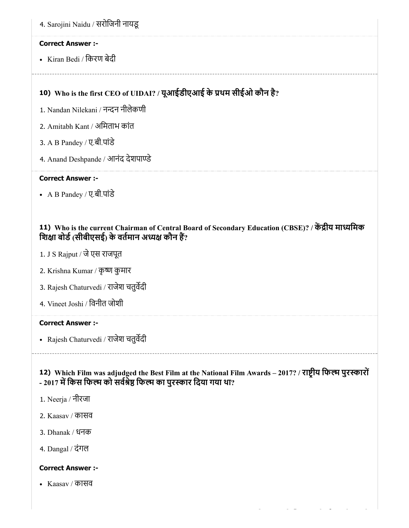• Kiran Bedi / किरण बेदी

# 10) Who is the first CEO of UIDAI? / यूआईडीएआई के थम सीईओ कौन है?

- 1. Nandan Nilekani / नन्दन नीलेकणी
- 2. Amitabh Kant / अमिताभ कांत
- 3. A B Pandey / ए.बी.पांडे
- 4. Anand Deshpande / आनंद देशपाण्डे

#### Correct Answer :-

A B Pandey / ए.बी.पांडे

### 11) Who is the current Chairman of Central Board of Secondary Education (CBSE)? / केंद्रीय माध्यमिक शिक्षा बोर्ड (सीबीएसई) के वर्तमान अध्यक्ष कौन हैं?

- 1. J S Rajput / जेएस राजपूत
- 2. Krishna Kumar / कृष्ण कुमार
- 3. Rajesh Chaturvedi / राजेश चतुवदी
- 4. Vineet Joshi / िवनीत जोशी

#### Correct Answer :-

Rajesh Chaturvedi / राजेश चतुवदी

### 12) Which Film was adjudged the Best Film at the National Film Awards – 2017? / राष्ट्रीय फिल्म पुरस्कारों - 2017 में किस फिल्म को सर्वश्रेष्ठ फिल्म का पुरस्कार दिया गया था?

- 1. Neerja / नीरजा
- 2. Kaasav / कासव
- 3. Dhanak / धनक
- 4. Dangal / दंगल

#### Correct Answer :-

Kaasav / कासव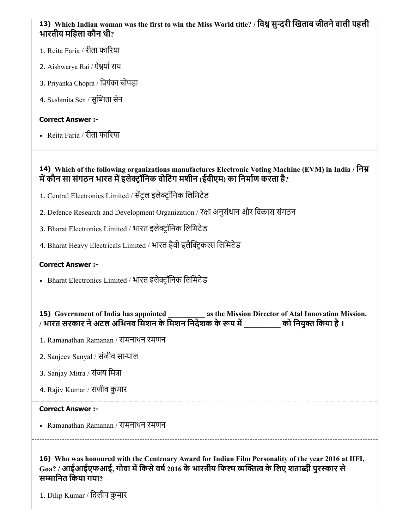| 13) Which Indian woman was the first to win the Miss World title? / विश्व सुन्दरी खिताब जीतने वाली पहली |  |
|---------------------------------------------------------------------------------------------------------|--|
| भारतीय महिला कौन थी?                                                                                    |  |

- 1. Reita Faria / रीता फारया
- 2. Aishwarya Rai / ऐश्वर्या राय
- 3. Priyanka Chopra / ियंका चोपड़ा
- 4. Sushmita Sen / सुष्मिता सेन

Reita Faria / रीता फारया

#### 14) Which of the following organizations manufactures Electronic Voting Machine (EVM) in India / निम्न में कौन सा संगठन भारत में इलेक्ट्रॉनिक वोटिंग मशीन (ईवीएम) का निर्माण करता है?

- 1. Central Electronics Limited / सेंट्रल इलेक्ट्रॉनिक लिमिटेड
- 2. Defence Research and Development Organization / रक्षा अनुसंधान और विकास संगठन
- 3. Bharat Electronics Limited / भारत इलेक्ट्रॉनिक लिमिटेड
- 4. Bharat Heavy Electricals Limited / भारत हैवी इलैक्ट्रिकल्स लिमिटेड

#### Correct Answer :-

• Bharat Electronics Limited / भारत इलेक्ट्रॉनिक लिमिटेड

# 15) Government of India has appointed \_\_\_\_\_\_\_\_\_\_\_ as the Mission Director of Atal Innovation Mission. / भारत सरकार ने अटल अभिनव मिशन के मिशन निर्देशक के रूप में \_\_\_\_\_\_\_\_\_ को नियुक्त किया है ।

- 1. Ramanathan Ramanan / रामनाथन रमणन
- 2. Sanjeev Sanyal / संजीव सान्याल
- 3. Sanjay Mitra / संजय िमा
- 4. Rajiv Kumar / राजीव कुमार

#### Correct Answer :-

Ramanathan Ramanan / रामनाथन रमणन

16) Who was honoured with the Centenary Award for Indian Film Personality of the year 2016 at IIFI,  $_{\rm{Ga2}}$  / आईआईएफआई, गोवा में किसे वर्ष 2016 के भारतीय फिल्म व्यक्तित्व के लिए शताब्दी पुरस्कार से सम्मानित किया गया?

1. Dilip Kumar / िदलीप कुमार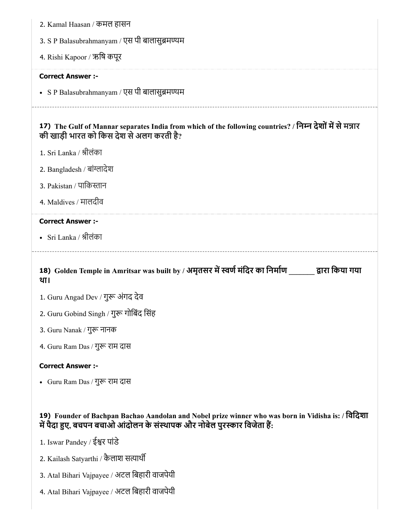| 2. Kamal Haasan / कमल हासन                                                                                                                                                     |
|--------------------------------------------------------------------------------------------------------------------------------------------------------------------------------|
| 3. S P Balasubrahmanyam / एस पी बालासुब्रमण्यम                                                                                                                                 |
| 4. Rishi Kapoor / ऋषि कपूर                                                                                                                                                     |
| <b>Correct Answer :-</b>                                                                                                                                                       |
| • SP Balasubrahmanyam / एस पी बालासुब्रमण्यम                                                                                                                                   |
| 17) The Gulf of Mannar separates India from which of the following countries? / निम्न देशों में से मन्नार<br>की खाड़ी भारत को किस देश से अलग करती है?                          |
| 1. Sri Lanka / श्रीलंका                                                                                                                                                        |
| 2. Bangladesh / बांग्लादेश                                                                                                                                                     |
| 3. Pakistan / पाकिस्तान                                                                                                                                                        |
| 4. Maldives / मालदीव                                                                                                                                                           |
| <b>Correct Answer :-</b>                                                                                                                                                       |
| • Sri Lanka / श्रीलंका                                                                                                                                                         |
|                                                                                                                                                                                |
| 18) Golden Temple in Amritsar was built by / अमृतसर में स्वर्ण मंदिर का निर्माण व्यारा किया गया<br>था।                                                                         |
| 1. Guru Angad Dev / गुरू अंगद देव                                                                                                                                              |
| 2. Guru Gobind Singh / गुरू गोबिंद सिंह                                                                                                                                        |
| 3. Guru Nanak / गुरू नानक                                                                                                                                                      |
| 4. Guru Ram Das / गुरू राम दास                                                                                                                                                 |
| <b>Correct Answer :-</b>                                                                                                                                                       |
| • Guru Ram Das / गुरू राम दास                                                                                                                                                  |
| 19) Founder of Bachpan Bachao Aandolan and Nobel prize winner who was born in Vidisha is: / विदिशा<br>में पैदा हुए, बचपन बचाओ आंदोलन के संस्थापक और नोबेल पुरस्कार विजेता हैं: |
| 1. Iswar Pandey / ईश्वर पांडे                                                                                                                                                  |
| 2. Kailash Satyarthi / कैलाश सत्यार्थी                                                                                                                                         |
| 3. Atal Bihari Vajpayee / अटल बिहारी वाजपेयी                                                                                                                                   |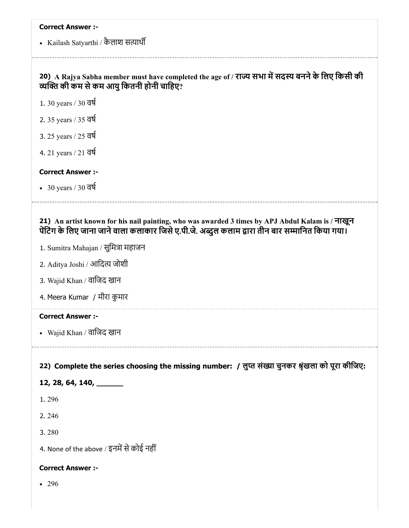• Kailash Satyarthi / कैलाश सत्यार्थी

# 20) A Rajya Sabha member must have completed the age of / राज्य सभा में सदस्य बनने के लिए किसी की व्यक्ति की कम से कम आयु कितनी होनी चाहिए?

- 1. 30 years / 30 वष
- 2. 35 years / 35 वष
- 3. 25 years / 25 वष
- 4. 21 years / 21 वष

#### Correct Answer :-

 $\cdot$  30 years / 30 वर्ष

#### 21) An artist known for his nail painting, who was awarded 3 times by APJ Abdul Kalam is / नाखून पेंटिंग के लिए जाना जाने वाला कलाकार जिसे ए.पी.जे. अब्दुल कलाम द्वारा तीन बार सम्मानित किया गया।

- 1. Sumitra Mahajan / सुमित्रा महाजन
- 2. Aditya Joshi / आदित्य जोशी
- 3. Wajid Khan / वािजद खान
- 4. Meera Kumar / मीरा कुमार

#### Correct Answer :-

Wajid Khan / वािजद खान

### 22) Complete the series choosing the missing number: / लुप्त संख्या चुनकर श्रृंखला को पूरा कीजिए:

#### 12, 28, 64, 140, \_\_\_\_\_\_

- 1. 296
- 2. 246
- 3. 280
- 4. None of the above / इनमें से कोई नहीं

#### Correct Answer :-

• 296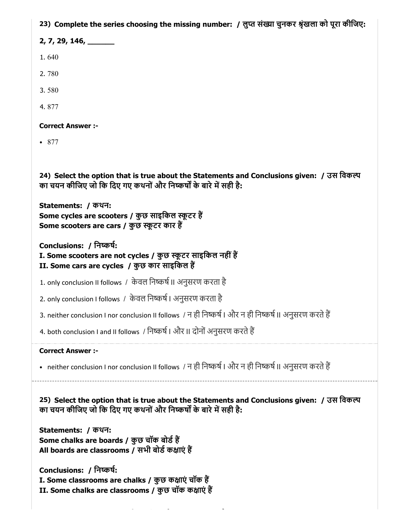23) Complete the series choosing the missing number: / लुप्त संख्या चुनकर श्रृंखला को पूरा कीजिए:

2, 7, 29, 146, \_\_\_\_\_

1. 640

2. 780

3. 580

4. 877

Correct Answer :-

877

24) Select the option that is true about the Statements and Conclusions given: / उस िवक का चयन कीजिए जो कि दिए गए कथनों और निष्कर्षों के बारे में सही है:

Statements: / कथन: Some cycles are scooters / कुछ साइकिल स्कूटर हैं Some scooters are cars / कुछ स्कूटर कार हैं

Conclusions: / िनकष:

I. Some scooters are not cycles / कुछ स्कूटर साइकिल नहीं हैं II. Some cars are cycles / कुछ कार साइकिल हैं

1. only conclusion II follows / केवल निष्कर्ष II अनुसरण करता है

2. only conclusion I follows / केवल निष्कर्ष । अनुसरण करता है

3. neither conclusion I nor conclusion II follows / न ही निष्कर्ष | और न ही निष्कर्ष || अनुसरण करते हैं

4. both conclusion I and II follows / निष्कर्ष | और II दोनों अनुसरण करते हैं

#### Correct Answer :-

• neither conclusion I nor conclusion II follows / न ही निष्कर्ष । और न ही निष्कर्ष ।। अनुसरण करते हैं

25) Select the option that is true about the Statements and Conclusions given: / उस िवक का चयन कीजिए जो कि दिए गए कथनों और निष्कर्षों के बारे में सही है:

Statements: / कथन: Some chalks are boards / कुछ चॉक बोर्ड हैं All boards are classrooms / सभी बोर्ड कक्षाएं हैं

Conclusions: / िनकष:

I. Some classrooms are chalks / कुछ कक्षाएं चॉक हैं II. Some chalks are classrooms / कुछ चॉक कक्षाएं हैं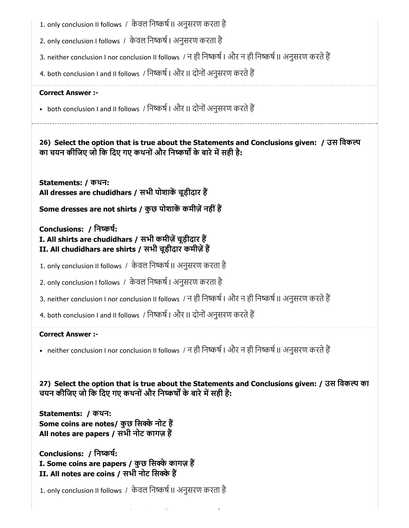- 1. only conclusion II follows / केवल निष्कर्ष II अनुसरण करता है
- 2. only conclusion I follows / केवल निष्कर्ष । अनुसरण करता है
- 3. neither conclusion I nor conclusion II follows / न ही निष्कर्ष | और न ही निष्कर्ष || अनुसरण करते हैं
- 4. both conclusion I and II follows / निष्कर्ष | और II दोनों अनुसरण करते हैं

• both conclusion I and II follows / निष्कर्ष | और II दोनों अनुसरण करते हैं

26) Select the option that is true about the Statements and Conclusions given: / उस िवक का चयन कीजिए जो कि दिए गए कथनों और निष्कर्षों के बारे में सही है:

Statements: / कथन: All dresses are chudidhars / सभी पोशाकें चूड़ीदार हैं

Some dresses are not shirts / कुछ पोशाकें कमीज़ें नहीं हैं

Conclusions: / िनकष:

## I. All shirts are chudidhars / सभी कमीज़ें चूड़ीदार हैं II. All chudidhars are shirts / सभी चूड़ीदार कमीज़ें हैं

- 1. only conclusion II follows / केवल निष्कर्ष II अनुसरण करता है
- 2. only conclusion I follows / केवल निष्कर्ष । अनुसरण करता है
- 3. neither conclusion I nor conclusion II follows / न ही निष्कर्ष | और न ही निष्कर्ष || अनुसरण करते हैं
- 4. both conclusion I and II follows / निष्कर्ष | और II दोनों अनुसरण करते हैं

#### Correct Answer :-

• neither conclusion I nor conclusion II follows / न ही निष्कर्ष । और न ही निष्कर्ष II अनुसरण करते हैं

27) Select the option that is true about the Statements and Conclusions given: / उस िवक का चयन कीजिए जो कि दिए गए कथनों और निष्कर्षों के बारे में सही है:

Statements: / कथन: Some coins are notes/ कुछ सिक्के नोट हैं All notes are papers / सभी नोट कागज़ ह

Conclusions: / िनकष: I. Some coins are papers / कुछ सिक्के कागज़ हैं II. All notes are coins / सभी नोट सिक्के हैं

1. only conclusion II follows / केवल निष्कर्ष II अनुसरण करता है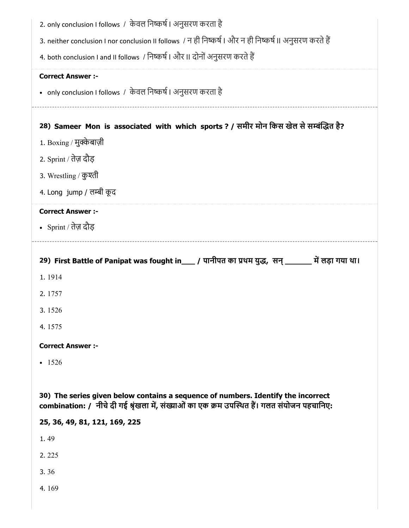| 2. only conclusion I follows / केवल निष्कर्ष । अनुसरण करता है<br>3. neither conclusion I nor conclusion II follows / न ही निष्कर्ष   और न ही निष्कर्ष    अनुसरण करते हैं          |
|-----------------------------------------------------------------------------------------------------------------------------------------------------------------------------------|
| 4. both conclusion I and II follows / निष्कर्ष   और II दोनों अनुसरण करते हैं                                                                                                      |
| <b>Correct Answer :-</b>                                                                                                                                                          |
| • only conclusion I follows / केवल निष्कर्ष । अनुसरण करता है                                                                                                                      |
| 28) Sameer Mon is associated with which sports ? / समीर मोन किस खेल से सम्बंद्धित है?                                                                                             |
| 1. Boxing / मुक्केबाज़ी                                                                                                                                                           |
| 2. Sprint / तेज़ दौड़                                                                                                                                                             |
| 3. Wrestling / कुश्ती                                                                                                                                                             |
| 4. Long jump / लम्बी कूद                                                                                                                                                          |
| <b>Correct Answer :-</b>                                                                                                                                                          |
| • Sprint / तेज़ दौड़                                                                                                                                                              |
| 29) First Battle of Panipat was fought in___ / पानीपत का प्रथम युद्ध, सन् ______ में लड़ा गया था।                                                                                 |
|                                                                                                                                                                                   |
|                                                                                                                                                                                   |
| 1.1914<br>2.1757                                                                                                                                                                  |
| 3.1526                                                                                                                                                                            |
| 4.1575                                                                                                                                                                            |
| <b>Correct Answer :-</b>                                                                                                                                                          |
| $-1526$                                                                                                                                                                           |
|                                                                                                                                                                                   |
| 30) The series given below contains a sequence of numbers. Identify the incorrect<br>combination: / नीचे दी गई श्रृंखला में, संख्याओं का एक क्रम उपस्थित हैं। गलत संयोजन पहचानिए: |
| 25, 36, 49, 81, 121, 169, 225                                                                                                                                                     |
| 1.49                                                                                                                                                                              |
| 2.225                                                                                                                                                                             |
| 3.36                                                                                                                                                                              |
| 4.169                                                                                                                                                                             |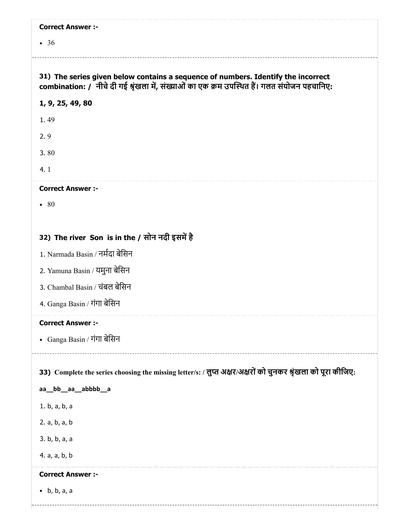| <b>Correct Answer :-</b>                                                                                                                                                          |
|-----------------------------------------------------------------------------------------------------------------------------------------------------------------------------------|
| $\bullet$ 36                                                                                                                                                                      |
|                                                                                                                                                                                   |
| 31) The series given below contains a sequence of numbers. Identify the incorrect<br>combination: / नीचे दी गई श्रृंखला में, संख्याओं का एक क्रम उपस्थित हैं। गलत संयोजन पहचानिए: |
| 1, 9, 25, 49, 80                                                                                                                                                                  |
| 1.49                                                                                                                                                                              |
| 2.9                                                                                                                                                                               |
| 3.80                                                                                                                                                                              |
| 4.1                                                                                                                                                                               |
| <b>Correct Answer :-</b>                                                                                                                                                          |
| $\bullet$ 80                                                                                                                                                                      |
|                                                                                                                                                                                   |
| 32) The river Son is in the / सोन नदी इसमें है                                                                                                                                    |
| 1. Narmada Basin / नर्मदा बेसिन                                                                                                                                                   |
| 2. Yamuna Basin / यमुना बेसिन                                                                                                                                                     |
| 3. Chambal Basin / चंबल बेसिन                                                                                                                                                     |
| 4. Ganga Basin / गंगा बेसिन                                                                                                                                                       |
| <b>Correct Answer :-</b>                                                                                                                                                          |
| - Ganga Basin / गंगा बेसिन                                                                                                                                                        |
|                                                                                                                                                                                   |
| 33) Complete the series choosing the missing letter/s: / लुप्त अक्षर/अक्षरों को चुनकर श्रृंखला को पूरा कीजिए:                                                                     |
| aa_bb_aa_abbbb_a                                                                                                                                                                  |
| 1. b, a, b, a                                                                                                                                                                     |
| 2. a, b, a, b                                                                                                                                                                     |
| 3. b, b, a, a                                                                                                                                                                     |
| 4. a, a, b, b                                                                                                                                                                     |
| <b>Correct Answer :-</b>                                                                                                                                                          |
| $\bullet$ b, b, a, a                                                                                                                                                              |
|                                                                                                                                                                                   |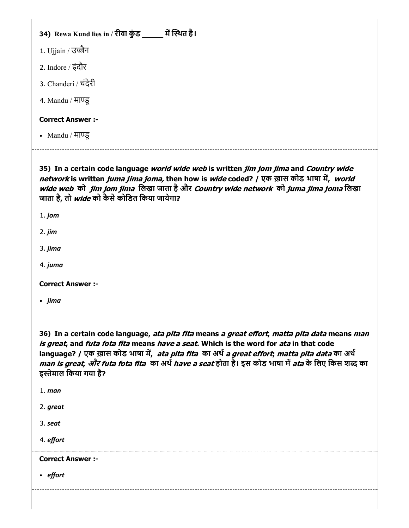### 34) Rewa Kund lies in / रीवा कुड \_\_\_\_\_\_ में स्थित है।

- 1. Ujjain / उज्जैन
- 2. Indore / इंदौर
- 3. Chanderi / चंदेरी
- 4. Mandu / माण्ड्र

#### Correct Answer :-

• Mandu / माण्ड्र

35) In a certain code language *world wide web* is written *jim jom jima* and *Country wide* network is written *juma jima joma,* then how is *wide* coded? / एक ख़ास कोड भाषा में, *world* wide web को *jim jom jima* लिखा जाता है और Country wide network को juma jima joma लिखा जाता है, तो *wide* को कैसे कोडित किया जायेगा?

- 1. jom
- 2. jim
- 3. jima
- 4. juma

Correct Answer :-

• jima

36) In a certain code language, *ata pita fita* means *a great effort, matta pita data* means *man* is great, and futa fota fita means have a seat. Which is the word for ata in that code language? / एक ख़ास कोड भाषा में, ata pita fita का अर्थ a great effort; matta pita data का अर्थ *man is great, और futa fota fita का अर्थ have a seat* होता है। इस कोड भाषा में *ata* के लिए किस शब्द का इस्तेमाल किया गया है?

- 1. man
- 2. great
- 3. seat
- 4. effort

Correct Answer :-

• effort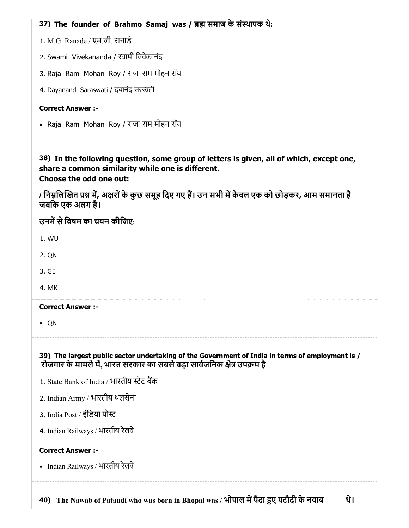| 37) The founder of Brahmo Samaj was / ब्रह्म समाज के संस्थापक थे:                                                                                                            |
|------------------------------------------------------------------------------------------------------------------------------------------------------------------------------|
| 1. M.G. Ranade / एम.जी. रानाडे                                                                                                                                               |
| 2. Swami Vivekananda / स्वामी विवेकानंद                                                                                                                                      |
| 3. Raja Ram Mohan Roy / राजा राम मोहन रॉय                                                                                                                                    |
| 4. Dayanand Saraswati / दयानंद सरस्वती                                                                                                                                       |
| <b>Correct Answer:-</b>                                                                                                                                                      |
| • Raja Ram Mohan Roy / राजा राम मोहन रॉय                                                                                                                                     |
| 38) In the following question, some group of letters is given, all of which, except one,<br>share a common similarity while one is different.<br>Choose the odd one out:     |
| / निम्नलिखित प्रश्न में, अक्षरों के कुछ समूह दिए गए हैं। उन सभी में केवल एक को छोड़कर, आम समानता है<br>जबकि एक अलग है।                                                       |
| उनमें से विषम का चयन कीजिए:                                                                                                                                                  |
| 1. WU                                                                                                                                                                        |
| 2. QN                                                                                                                                                                        |
| 3. GE                                                                                                                                                                        |
| 4. MK                                                                                                                                                                        |
| <b>Correct Answer :-</b>                                                                                                                                                     |
| QN                                                                                                                                                                           |
| 39) The largest public sector undertaking of the Government of India in terms of employment is /<br>रोजगार के मामले में, भारत सरकार का सबसे बड़ा सार्वजनिक क्षेत्र उपक्रम है |
| 1. State Bank of India / भारतीय स्टेट बैंक                                                                                                                                   |
| 2. Indian Army / भारतीय थलसेना                                                                                                                                               |
| 3. India Post / इंडिया पोस्ट                                                                                                                                                 |
| 4. Indian Railways / भारतीय रेलवे                                                                                                                                            |
| <b>Correct Answer:-</b>                                                                                                                                                      |
| • Indian Railways / भारतीय रेलवे                                                                                                                                             |
| 40) The Nawab of Pataudi who was born in Bhopal was / भोपाल में पैदा हुए पटौदी के नवाब _____<br>थे।                                                                          |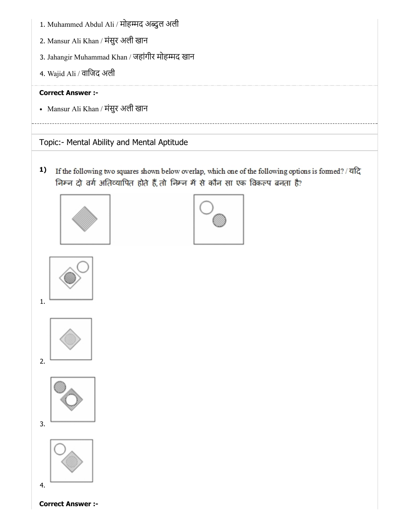- 1. Muhammed Abdul Ali / मोहम्मद अब्दुल अली
- 2. Mansur Ali Khan / मंसुर अली खान
- 3. Jahangir Muhammad Khan / जहांगीर मोहम्मद खान
- 4. Wajid Ali / वािजद अली

Mansur Ali Khan / मंसुर अली खान

# Topic:- Mental Ability and Mental Aptitude

1) If the following two squares shown below overlap, which one of the following options is formed? / यदि निम्न दो वर्ग अतिव्यापित होते हैं, तो निम्न में से कौन सा एक विकल्प बनता है?











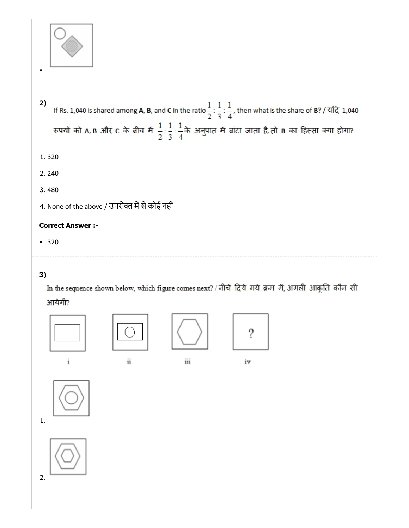

- 2) If Rs. 1,040 is shared among A, B, and C in the ratio  $\frac{1}{2}$  :  $\frac{1}{3}$  :  $\frac{1}{4}$ , then what is the share of B? / यदि 1,040 रूपयों को A, B और C के बीच में  $\frac{1}{2}$ :  $\frac{1}{3}$ :  $\frac{1}{4}$ के अनुपात में बांटा जाता है, तो B का हिस्सा क्या होगा? 1. 320 2. 240 3. 480
- 4. None of the above / उपरोक्त में से कोई नहीं

320

# 3)

In the sequence shown below, which figure comes next? / नीचे दिये गये क्रम में, अगली आकृति कौन सी आयेगी?

















iv



2.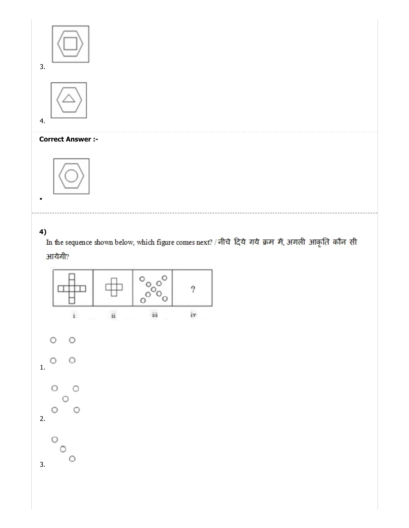





4)<br>In the sequence shown below, which figure comes next? / नीचे दिये गये क्रम में, अगली आकृति कौन सी

# आयेगी?

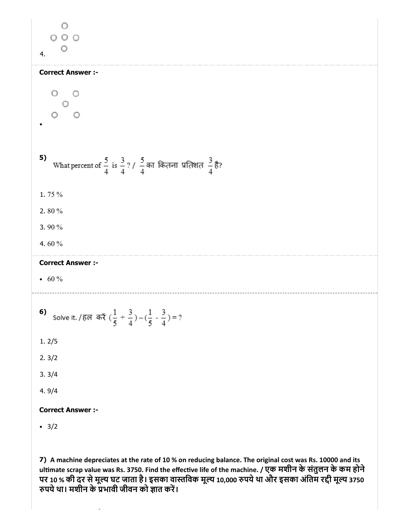O  $O$   $O$   $O$  $\circ$ 4. Correct Answer :-  $\bigcirc$  $\bigcirc$ O  $\circ$  $\bigcirc$ 5) What percent of  $\frac{5}{4}$  is  $\frac{3}{4}$ ? /  $\frac{5}{4}$  का कितना प्रतिशत  $\frac{3}{4}$  है? 1. 75 % 2. 80 % 3. 90 % 4. 60 % Correct Answer :- •  $60\%$ Solve it. / हल करें  $(\frac{1}{5} + \frac{3}{4}) - (\frac{1}{5} - \frac{3}{4}) = ?$ 6) 1. 2/5 2. 3/2 3. 3/4 4. 9/4 Correct Answer :-  $\cdot$  3/2

7) A machine depreciates at the rate of 10 % on reducing balance. The original cost was Rs. 10000 and its ultimate scrap value was Rs. 3750. Find the effective life of the machine. / एक मशीन के संतुलन के कम होने पर 10 % की दर से मूल्य घट जाता है। इसका वास्तविक मूल्य 10,000 रुपये था और इसका अंतिम रद्दी मूल्य 3750 रुपर्य था। मशीन के प्रभावी जीवन को ज्ञात करें।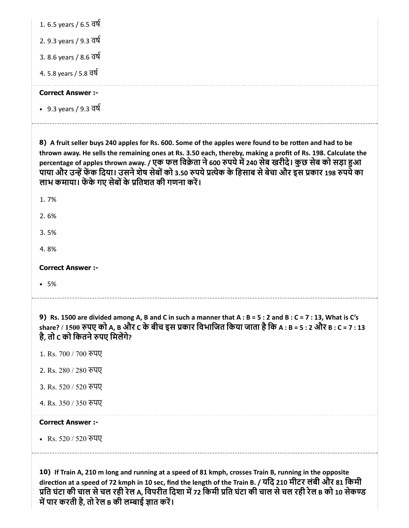| 1. 6.5 years / 6.5 वर्ष |  |
|-------------------------|--|
| 2. 9.3 years / 9.3 বর্ষ |  |
| 3. 8.6 years / 8.6 বর্ষ |  |
| 4. 5.8 years / 5.8 বর্ষ |  |
| <b>Correct Answer:-</b> |  |
| • 9.3 years / 9.3 वर्ष  |  |

8) A fruit seller buys 240 apples for Rs. 600. Some of the apples were found to be rotten and had to be thrown away. He sells the remaining ones at Rs. 3.50 each, thereby, making a profit of Rs. 198. Calculate the percentage of apples thrown away. / एक फल विक्रेता ने 600 रुपये में 240 सेब खरीदे। कुछ सेब को सड़ा हुआ पाया और उन्हें फेंक दिया। उसने शेष सेबों को 3.50 रुपये प्रत्येक के हिसाब से बेचा और इस प्रकार 198 रुपये का लाभ कमाया। फेंके गए सेबों के प्रतिशत की गणना करें।

1. 7%

2. 6%

3. 5%

4. 8%

Correct Answer :-

5%

9) Rs. 1500 are divided among A, B and C in such a manner that A : B = 5 : 2 and B : C = 7 : 13, What is C's share? / 1500 पए को A, B और C के बीच इस कार िवभािजत िकया जाता हैिक A : B = 5 : 2 और B : C = 7 : 13 है, तो c को कितने रुपए मिलेंगे?

- 1. Rs. 700 / 700 पए
- 2. Rs. 280 / 280 पए
- 3. Rs. 520 / 520 पए
- 4. Rs. 350 / 350 पए

#### Correct Answer :-

• Rs. 520 / 520 रुपए

10) If Train A, 210 m long and running at a speed of 81 kmph, crosses Train B, running in the opposite direction at a speed of 72 kmph in 10 sec, find the length of the Train B. / यदि 210 मीटर लंबी और 81 किमी प्रति घंटा की चाल से चल रही रेल A, विपरीत दिशा में 72 किमी प्रति घंटा की चाल से चल रही रेल B को 10 सेकण्ड में पार करती है, तो रेल в की लम्बाई ज्ञात करें।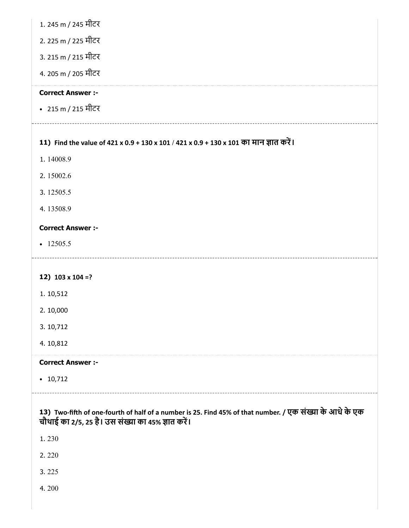|  |  |  |  | 1. 245 m / 245 मीटर |
|--|--|--|--|---------------------|
|--|--|--|--|---------------------|

- 2. 225 m / 225 मीटर
- 3. 215 m / 215 मीटर
- 4. 205 m / 205 मीटर

215 m / 215 मीटर

#### 11) Find the value of 421 x 0.9 + 130 x 101 / 421 x 0.9 + 130 x 101 का मान ात कर।

- 1. 14008.9
- 2. 15002.6
- 3. 12505.5
- 4. 13508.9

#### Correct Answer :-

 $-12505.5$ 

### 12) 103 x 104 =?

- 1. 10,512
- 2. 10,000
- 3. 10,712
- 4. 10,812

#### Correct Answer :-

 $\cdot$  10,712

#### 13) Two-fifth of one-fourth of half of a number is 25. Find 45% of that number. / एक संख्या के आधे के एक चौथाई का 2/5, 25 है। उस संख्या का 45% ज्ञात करें।

- 1. 230
- 2. 220
- 3. 225
- 4. 200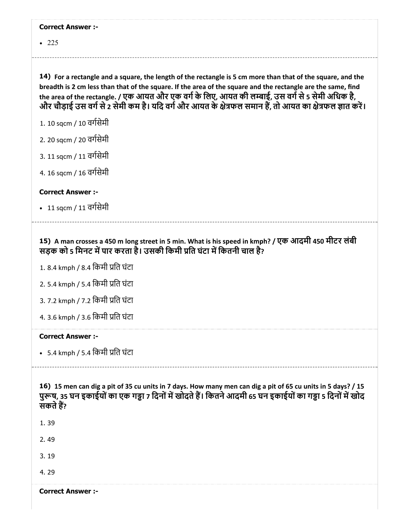|  | <b>Correct Answer :-</b> |  |
|--|--------------------------|--|
|--|--------------------------|--|

• 225

14) For a rectangle and a square, the length of the rectangle is 5 cm more than that of the square, and the breadth is 2 cm less than that of the square. If the area of the square and the rectangle are the same, find the area of the rectangle. / एक आयत और एक वर्ग के लिए, आयत की लम्बाई, उस वर्ग से 5 सेमी अधिक है, जौर चौड़ाई उस वर्ग से 2 सेमी कम है। यदि वर्ग और आयत के क्षेत्रफल समान हैं, तो आयत का क्षेत्रफल ज्ञात करें।

1. 10 sqcm / 10 वगसेमी

2. 20 sqcm / 20 वगसेमी

3. 11 sqcm / 11 वगसेमी

4. 16 sqcm / 16 वगसेमी

Correct Answer :-

• 11 sqcm / 11 वर्गसेमी

15) A man crosses a 450 m long street in 5 min. What is his speed in kmph? / एक आदमी 450 मीटर लंबी सड़क को 5 मिनट में पार करता है। उसकी किमी प्रति घंटा में कितनी चाल है?

1. 8.4 kmph / 8.4 िकमी ित घंटा

2. 5.4 kmph / 5.4 िकमी ित घंटा

3. 7.2 kmph / 7.2 िकमी ित घंटा

4. 3.6 kmph / 3.6 िकमी ित घंटा

#### Correct Answer :-

• 5.4 kmph / 5.4 किमी प्रति घंटा

16) 15 men can dig a pit of 35 cu units in 7 days. How many men can dig a pit of 65 cu units in 5 days? / 15 पुरूष, 35 घन इकाईयों का एक गड्ढा 7 दिनों में खोदते हैं। कितने आदमी 65 घन इकाईयों का गड्ढा 5 दिनों में खोद सकते हैं?

1. 39

2. 49

3. 19

4. 29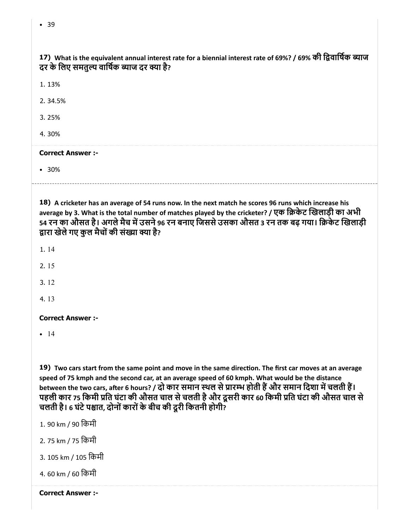| 17) What is the equivalent annual interest rate for a biennial interest rate of 69%? / 69% की द्विवार्षिक ब्याज |  |
|-----------------------------------------------------------------------------------------------------------------|--|
| दर के लिए समतुल्य वार्षिक ब्याज दर क्या है?                                                                     |  |

1. 13%

2. 34.5%

3. 25%

4. 30%

#### Correct Answer :-

30%

18) A cricketer has an average of 54 runs now. In the next match he scores 96 runs which increase his average by 3. What is the total number of matches played by the cricketer? / एक िकेट खलाड़ी का अभी 54 रन का औसत है। अगले मैच में उसने 96 रन बनाए जिससे उसका औसत 3 रन तक बढ़ गया। क्रिकेट खिलाड़ी द्वारा खेले गए कुल मैचों की संख्या क्या है?

1. 14

2. 15

3. 12

4. 13

Correct Answer :-

 $-14$ 

19) Two cars start from the same point and move in the same direction. The first car moves at an average speed of 75 kmph and the second car, at an average speed of 60 kmph. What would be the distance between the two cars, after 6 hours? / दो कार समान स्थल से प्रारम्भ होती हैं और समान दिशा में चलती हैं। पहली कार 75 किमी प्रति घंटा की औसत चाल से चलती है और दूसरी कार 60 किमी प्रति घंटा की औसत चाल से चलती है। 6 घंटे पश्चात, दोनों कारों के बीच की दूरी कितनी होगी?

- 1. 90 km / 90 िकमी
- 2. 75 km / 75 िकमी
- 3. 105 km / 105 िकमी
- 4. 60 km / 60 िकमी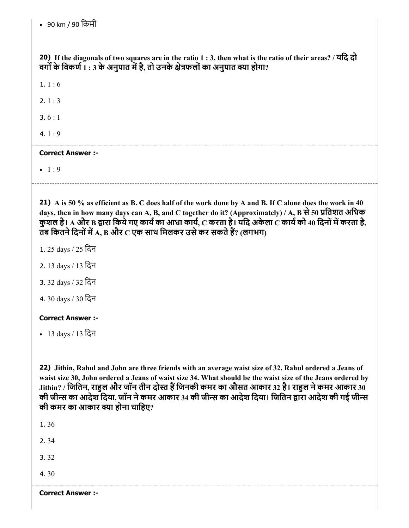20) If the diagonals of two squares are in the ratio 1 : 3, then what is the ratio of their areas? / यिद दो वर्गों के विकर्ण  $\overline{1}$  : 3 के अनुपात में है, तो उनके क्षेत्रफलों का अनुपात क्या होगा?

1.  $1:6$ 

2.  $1:3$ 

3. 6 : 1

4.  $1:9$ 

#### Correct Answer :-

 $-1:9$ 

21) A is 50 % as efficient as B. C does half of the work done by A and B. If C alone does the work in 40 days, then in how many days can A, B, and C together do it? (Approximately) / A, B से 50 प्रतिशत अधिक कुशल है। A और B द्वारा किये गए कार्य का आधा कार्य, C करता है। यदि अकेला C कार्य को 40 दिनों में करता है, तब कितने दिनों में A, B और  $\rm C$  एक साथ मिलकर उसे कर सकते हैं? (लगभग)

- 1. 25 days / 25 िदन
- 2. 13 days / 13 िदन
- 3. 32 days / 32 िदन
- 4. 30 days / 30 िदन

### Correct Answer :-

13 days / 13 िदन

22) Jithin, Rahul and John are three friends with an average waist size of 32. Rahul ordered a Jeans of waist size 30, John ordered a Jeans of waist size 34. What should be the waist size of the Jeans ordered by Jithin? / जितिन, राहुल और जॉन तीन दोस्त हैं जिनकी कमर का औसत आकार 32 है। राहुल ने कमर आकार 30 की जीन्स का आदेश दिया, जॉन ने कमर आकार 34 की जीन्स का आदेश दिया। जितिन द्वारा आदेश की गई जीन्स की कमर का आकार क्या होना चाहिए?

1. 36

2. 34

3. 32

4. 30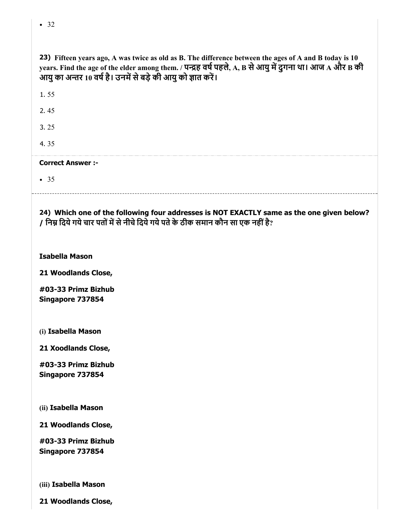| т.<br>ł | ۰.<br>$\sim$<br>v |
|---------|-------------------|
|         |                   |

| 23) Fifteen years ago, A was twice as old as B. The difference between the ages of A and B today is 10<br>years. Find the age of the elder among them. / पन्द्रह वर्ष पहले, A, B से आयु में दुगना था। आज A और B की<br>आयु का अन्तर 10 वर्ष है। उनमें से बड़े की आयु को ज्ञात करें। |
|------------------------------------------------------------------------------------------------------------------------------------------------------------------------------------------------------------------------------------------------------------------------------------|
| 1.55                                                                                                                                                                                                                                                                               |
| 2.45                                                                                                                                                                                                                                                                               |
| 3.25                                                                                                                                                                                                                                                                               |
| 4.35                                                                                                                                                                                                                                                                               |
| <b>Correct Answer:-</b>                                                                                                                                                                                                                                                            |
| • 35                                                                                                                                                                                                                                                                               |
| 24) Which one of the following four addresses is NOT EXACTLY same as the one given below?<br>/ निम्न दिये गये चार पतों में से नीचे दिये गये पते के ठीक समान कौन सा एक नहीं है?                                                                                                     |
| <b>Isabella Mason</b>                                                                                                                                                                                                                                                              |

21 Woodlands Close,

#03-33 Primz Bizhub Singapore 737854

(i) Isabella Mason

21 Xoodlands Close,

#03-33 Primz Bizhub Singapore 737854

(ii) Isabella Mason

21 Woodlands Close,

#03-33 Primz Bizhub Singapore 737854

(iii) Isabella Mason

21 Woodlands Close,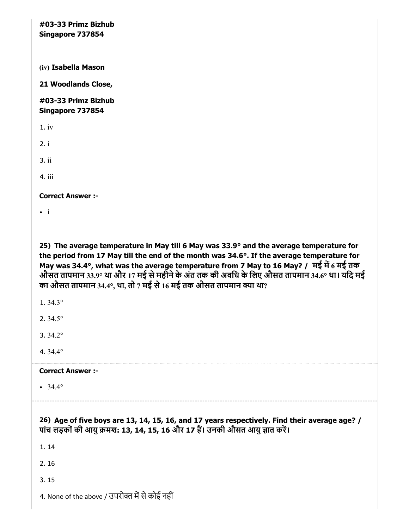#03-33 Primz Bizhub Singapore 737854 (iv) Isabella Mason 21 Woodlands Close,

#03-33 Primz Bizhub Singapore 737854

1. iv

2. i

3. ii

4. iii

Correct Answer :-

 $\bullet$  i

25) The average temperature in May till 6 May was 33.9° and the average temperature for the period from 17 May till the end of the month was 34.6°. If the average temperature for May was 34.4°, what was the average temperature from 7 May to 16 May? / मई में 6 मई तक औसत तापमान 33.9° था और 17 मई से महीने के अंत तक की अवधि के लिए औसत तापमान 34.6° था। यदि मई का औसत तापमान 34.4°, था, तो 7 मई से 16 मई तक औसत तापमान क्या था?

1. 34.3°

2. 34.5°

3. 34.2°

4. 34.4°

#### Correct Answer :-

 $• 34.4°$ 

26) Age of five boys are 13, 14, 15, 16, and 17 years respectively. Find their average age? / पांच लड़कों की आयु क्रमश: 13, 14, 15, 16 और 17 हैं। उनकी औसत आयु ज्ञात करें।

1. 14

2. 16

3. 15

4. None of the above / उपरोक्त में से कोई नहीं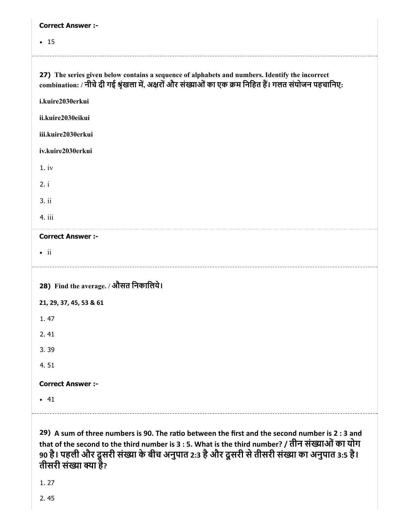| <b>Correct Answer :-</b>                                                                                                                                                                                 |
|----------------------------------------------------------------------------------------------------------------------------------------------------------------------------------------------------------|
| $\cdot$ 15                                                                                                                                                                                               |
|                                                                                                                                                                                                          |
| 27) The series given below contains a sequence of alphabets and numbers. Identify the incorrect<br>combination: / नीचे दी गई श्रृंखला में, अक्षरों और संख्याओं का एक क्रम निहित हैं। गलत संयोजन पहचानिए: |
| i.kuire2030erkui                                                                                                                                                                                         |
| ii.kuire2030eikui                                                                                                                                                                                        |
| iii.kuire2030erkui                                                                                                                                                                                       |
| iv.kuire2030erkui                                                                                                                                                                                        |
| 1.iv                                                                                                                                                                                                     |
| 2. i                                                                                                                                                                                                     |
| 3.ii                                                                                                                                                                                                     |
| 4. iii                                                                                                                                                                                                   |
|                                                                                                                                                                                                          |
| <b>Correct Answer :-</b>                                                                                                                                                                                 |
| $\bullet$ ii                                                                                                                                                                                             |
|                                                                                                                                                                                                          |
| 28) Find the average. / औसत निकालिये।                                                                                                                                                                    |
| 21, 29, 37, 45, 53 & 61                                                                                                                                                                                  |
| 1.47                                                                                                                                                                                                     |
| 2.41                                                                                                                                                                                                     |
| 3.39                                                                                                                                                                                                     |
| 4.51                                                                                                                                                                                                     |
| <b>Correct Answer :-</b>                                                                                                                                                                                 |
| $-41$                                                                                                                                                                                                    |

29) A sum of three numbers is 90. The ratio between the first and the second number is 2 : 3 and that of the second to the third number is 3 : 5. What is the third number? / तीन संख्याओं का योग 90 है। पहली और दूसरी संख्या के बीच अनुपात 2:3 है और दूसरी से तीसरी संख्या का अनुपात 3:5 है। तीसरी संख्या क्या है?

1. 27

2. 45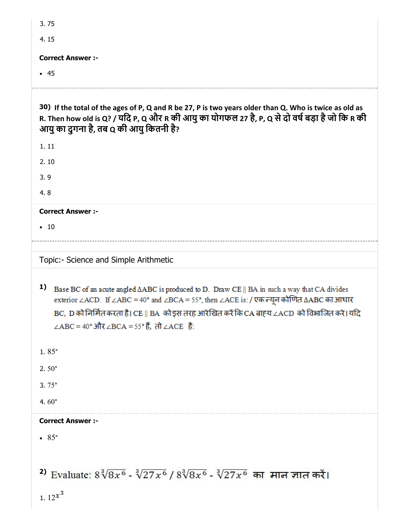| 3.75                                                                                                                                                                                                                                                                                                                                                      |
|-----------------------------------------------------------------------------------------------------------------------------------------------------------------------------------------------------------------------------------------------------------------------------------------------------------------------------------------------------------|
| 4.15                                                                                                                                                                                                                                                                                                                                                      |
| <b>Correct Answer :-</b>                                                                                                                                                                                                                                                                                                                                  |
| $-45$                                                                                                                                                                                                                                                                                                                                                     |
|                                                                                                                                                                                                                                                                                                                                                           |
| 30) If the total of the ages of P, Q and R be 27, P is two years older than Q. Who is twice as old as<br>R. Then how old is Q? / यदि P, Q और R की आयु का योगफल 27 है, P, Q से दो वर्ष बड़ा है जो कि R की<br>आयु का दुगना है, तब Q की आयु कितनी है?                                                                                                        |
| 1.11                                                                                                                                                                                                                                                                                                                                                      |
| 2.10                                                                                                                                                                                                                                                                                                                                                      |
| 3.9                                                                                                                                                                                                                                                                                                                                                       |
| 4.8                                                                                                                                                                                                                                                                                                                                                       |
| <b>Correct Answer :-</b>                                                                                                                                                                                                                                                                                                                                  |
| $\cdot$ 10                                                                                                                                                                                                                                                                                                                                                |
|                                                                                                                                                                                                                                                                                                                                                           |
| Topic:- Science and Simple Arithmetic                                                                                                                                                                                                                                                                                                                     |
| 1)<br>Base BC of an acute angled $\triangle ABC$ is produced to D. Draw CE    BA in such a way that CA divides<br>exterior ∠ACD. If ∠ABC = 40° and ∠BCA = 55°, then ∠ACE is: / एक न्यून कोणित ∆ABC का आधार<br>BC, D को निर्मित करता है। CE    BA  को इस तरह आरेखित करें कि CA बाह्य ∠ACD  को विभाजित करे। यदि<br>∠ABC = 40° और∠BCA = 55° हैं, तो ∠ACE है: |
| $1.85^{\circ}$                                                                                                                                                                                                                                                                                                                                            |
| 2. $50^{\circ}$                                                                                                                                                                                                                                                                                                                                           |
| $3.75^{\circ}$                                                                                                                                                                                                                                                                                                                                            |
| 4.60 $^{\circ}$                                                                                                                                                                                                                                                                                                                                           |
| <b>Correct Answer :-</b>                                                                                                                                                                                                                                                                                                                                  |
| $\bullet$ 85 $\circ$                                                                                                                                                                                                                                                                                                                                      |
|                                                                                                                                                                                                                                                                                                                                                           |
| 2) Evaluate: $8\sqrt[3]{8x^6} - \sqrt[3]{27x^6}/8\sqrt[3]{8x^6} - \sqrt[3]{27x^6}$ का मान ज्ञात करें।                                                                                                                                                                                                                                                     |
| 1. $12^{x^3}$                                                                                                                                                                                                                                                                                                                                             |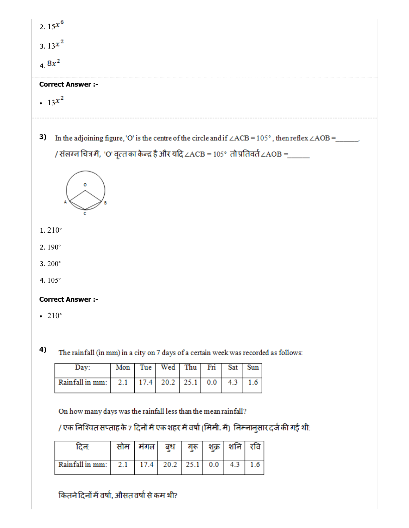| 2. $15^{x^6}$                                                                                                                      |
|------------------------------------------------------------------------------------------------------------------------------------|
| 3. $13^{x^2}$                                                                                                                      |
| 4.8 $x^2$                                                                                                                          |
| <b>Correct Answer :-</b>                                                                                                           |
| • $13^{x^2}$                                                                                                                       |
| 3)<br>In the adjoining figure, 'O' is the centre of the circle and if $\angle ACB = 105^\circ$ , then reflex $\angle AOB =$ _____. |
| / संलग्न चित्र में, 'O' वृत्त का केन्द्र है और यदि ∠ACB = 105° तो प्रतिवर्त ∠AOB =_____                                            |
|                                                                                                                                    |
| 1.210°                                                                                                                             |
| 2. $190^\circ$                                                                                                                     |
| 3.200°                                                                                                                             |
| 4.105°                                                                                                                             |
| <b>Correct Answer :-</b>                                                                                                           |
| $\cdot$ 210 $\degree$                                                                                                              |
|                                                                                                                                    |
| 4)<br>The rainfall (in mm) in a gitte on 7 days of a gartein weak was recorded as follows:                                         |

The rainfall (in mm) in a city on 7 days of a certain week was recorded as follows:

| Dav:                                                         |  | Mon   Tue   Wed   Thu   Fri   Sat   Sun |  |  |
|--------------------------------------------------------------|--|-----------------------------------------|--|--|
| Rainfall in mm:   2.1   17.4   20.2   25.1   0.0   4.3   1.6 |  |                                         |  |  |

On how many days was the rainfall less than the mean rainfall?

/ एक निश्चित सप्ताह के 7 दिनों में एक शहर में वर्षा (मिमी. में) निम्नानुसार दर्ज की गई थी:

|                     | मगल  | बध   |      | शक्र | शनि | राव |
|---------------------|------|------|------|------|-----|-----|
| Rainfall in mm: 2.1 | 17.4 | 20.2 | 25.1 | 0.0  | 4.3 | 6   |

कितने दिनों में वर्षा, औसत वर्षा से कम थी?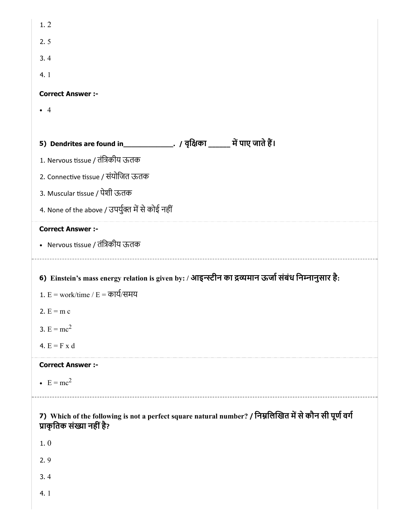| 1.2                                                                                                                                  |
|--------------------------------------------------------------------------------------------------------------------------------------|
| 2.5                                                                                                                                  |
| 3.4                                                                                                                                  |
| 4.1                                                                                                                                  |
| <b>Correct Answer :-</b>                                                                                                             |
| $\overline{4}$                                                                                                                       |
|                                                                                                                                      |
|                                                                                                                                      |
| 1. Nervous tissue / तंत्रिकीय ऊतक                                                                                                    |
| 2. Connective tissue / संयोजित ऊतक                                                                                                   |
| 3. Muscular tissue / पेशी ऊतक                                                                                                        |
| 4. None of the above / उपर्युक्त में से कोई नहीं                                                                                     |
| <b>Correct Answer :-</b>                                                                                                             |
| • Nervous tissue / तंत्रिकीय ऊतक                                                                                                     |
|                                                                                                                                      |
|                                                                                                                                      |
| 6) Einstein's mass energy relation is given by: / आइन्स्टीन का द्रव्यमान ऊर्जा संबंध निम्नानुसार है:                                 |
| 1. $E = work/time / E = \overline{p}$ य्/समय                                                                                         |
| 2. $E = m c$                                                                                                                         |
| 3. $E = mc^2$                                                                                                                        |
| 4. $E = F x d$                                                                                                                       |
| <b>Correct Answer :-</b>                                                                                                             |
| $\bullet$ E = mc <sup>2</sup>                                                                                                        |
|                                                                                                                                      |
| 7) Which of the following is not a perfect square natural number? / निम्नलिखित में से कौन सी पूर्ण वर्ग<br>प्राकृतिक संख्या नहीं है? |
| 1.0                                                                                                                                  |
| 2.9                                                                                                                                  |
| 3.4                                                                                                                                  |
| 4.1                                                                                                                                  |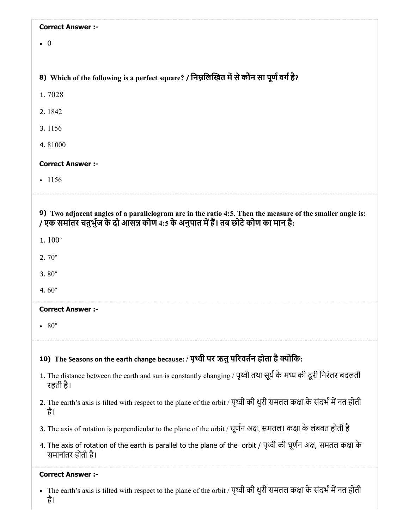| <b>Correct Answer :-</b>                                                                                                                                                                        |
|-------------------------------------------------------------------------------------------------------------------------------------------------------------------------------------------------|
| $\bullet$ 0                                                                                                                                                                                     |
|                                                                                                                                                                                                 |
| 8) Which of the following is a perfect square? / निम्नलिखित में से कौन सा पूर्ण वर्ग है?                                                                                                        |
| 1.7028                                                                                                                                                                                          |
| 2.1842                                                                                                                                                                                          |
| 3.1156                                                                                                                                                                                          |
| 4.81000                                                                                                                                                                                         |
| <b>Correct Answer :-</b>                                                                                                                                                                        |
| $-1156$                                                                                                                                                                                         |
|                                                                                                                                                                                                 |
| 9) Two adjacent angles of a parallelogram are in the ratio 4:5. Then the measure of the smaller angle is:<br>/ एक समांतर चतुर्भुज के दो आसन्न कोण 4:5 के अनुपात में हैं। तब छोटे कोण का मान है: |
| 1.100°                                                                                                                                                                                          |
| 2. $70^{\circ}$                                                                                                                                                                                 |
| 3.80 $^{\circ}$                                                                                                                                                                                 |
| 4.60 $^{\circ}$                                                                                                                                                                                 |
| <b>Correct Answer :-</b>                                                                                                                                                                        |
| $80^{\circ}$                                                                                                                                                                                    |
| 10) The Seasons on the earth change because: / पृथ्वी पर ऋतु परिवर्तन होता है क्योंकि:                                                                                                          |
| 1. The distance between the earth and sun is constantly changing / पृथ्वी तथा सूर्य के मध्य की दूरी निरंतर बदलती<br>रहती है।                                                                    |
| 2. The earth's axis is tilted with respect to the plane of the orbit / पृथ्वी की धुरी समतल कक्षा के संदर्भ में नत होती<br>है।                                                                   |
| 3. The axis of rotation is perpendicular to the plane of the orbit / घूर्णन अक्ष, समतल। कक्षा के लंबवत होती है                                                                                  |
| 4. The axis of rotation of the earth is parallel to the plane of the orbit / पृथ्वी की घूर्णन अक्ष, समतल कक्षा के<br>समानांतर होती है।                                                          |
| <b>Correct Answer :-</b>                                                                                                                                                                        |

The earth's axis is tilted with respect to the plane of the orbit / पृथ्वी की धुरी समतल कक्षा के संदर्भ में नत होती

है।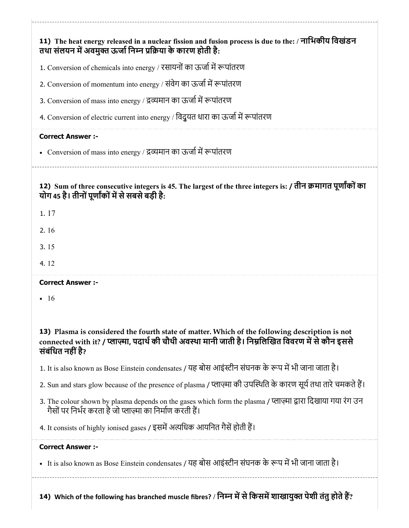|                          | तथा संलयन में अवमुक्त ऊर्जा निम्न प्रक्रिया के कारण होती है:                                                                                                                                           |
|--------------------------|--------------------------------------------------------------------------------------------------------------------------------------------------------------------------------------------------------|
|                          | 1. Conversion of chemicals into energy / रसायनों का ऊर्जा में रूपांतरण                                                                                                                                 |
|                          | 2. Conversion of momentum into energy / संवेग का ऊर्जा में रूपांतरण                                                                                                                                    |
|                          | 3. Conversion of mass into energy / द्रव्यमान का ऊर्जा में रूपांतरण                                                                                                                                    |
|                          | 4. Conversion of electric current into energy / विदुयत धारा का ऊर्जा में रूपांतरण                                                                                                                      |
| <b>Correct Answer:-</b>  |                                                                                                                                                                                                        |
|                          | • Conversion of mass into energy / द्रव्यमान का ऊर्जा में रूपांतरण                                                                                                                                     |
|                          | 12) Sum of three consecutive integers is 45. The largest of the three integers is: / तीन क्रमागत पूर्णांकों का<br>योग 45 है। तीनों पूर्णांकों में से सबसे बड़ी है:                                     |
| 1.17                     |                                                                                                                                                                                                        |
| 2.16                     |                                                                                                                                                                                                        |
| 3.15                     |                                                                                                                                                                                                        |
| 4.12                     |                                                                                                                                                                                                        |
| <b>Correct Answer :-</b> |                                                                                                                                                                                                        |
| • 16                     |                                                                                                                                                                                                        |
| संबंधित नहीं है?         | 13) Plasma is considered the fourth state of matter. Which of the following description is not<br>connected with it? / प्लाज़्मा, पदार्थ की चौथी अवस्था मानी जाती है। निम्नलिखित विवरण में से कौन इससे |
|                          | 1. It is also known as Bose Einstein condensates / यह बोस आइंस्टीन संघनक के रूप में भी जाना जाता है।                                                                                                   |
|                          | 2. Sun and stars glow because of the presence of plasma / प्लाज़्मा की उपस्थिति के कारण सूर्य तथा तारे चमकते हैं।                                                                                      |
|                          | 3. The colour shown by plasma depends on the gases which form the plasma / प्लाज़्मा द्वारा दिखाया गया रंग उन<br>गैसों पर निर्भर करता है जो प्लाज़्मा का निर्माण करती हैं।                             |
|                          | 4. It consists of highly ionised gases / इसमें अत्यधिक आयनित गैसें होती हैं।                                                                                                                           |
| <b>Correct Answer :-</b> |                                                                                                                                                                                                        |
|                          | • It is also known as Bose Einstein condensates / यह बोस आइंस्टीन संघनक के रूप में भी जाना जाता है।                                                                                                    |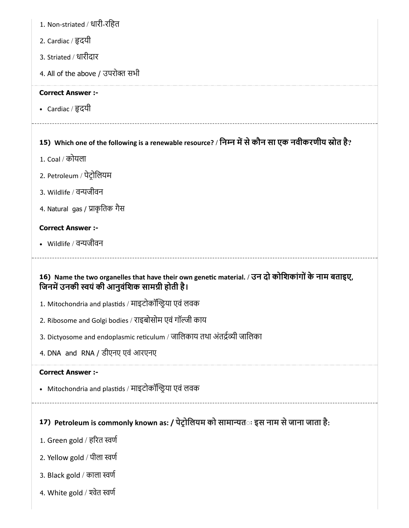- 1. Non-striated / धारी-रिहत
- 2. Cardiac / दयी
- 3. Striated / धारीदार
- 4. All of the above / उपरोक्त सभी

• Cardiac / हृदयी

# 15) Which one of the following is a renewable resource? / निम्न में से कौन सा एक नवीकरणीय स्रोत है?

- 1. Coal / कोयला
- 2. Petroleum / पेटोिलयम
- 3. Wildlife / वयजीवन
- 4. Natural gas / प्राकृतिक गैस

#### Correct Answer :-

Wildlife / वयजीवन

### 16) Name the two organelles that have their own genetic material. / उन दो कोशिकांगों के नाम बताइए, जिनमें उनकी स्वयं की आनुवंशिक सामग्री होती है।

- 1. Mitochondria and plastids / माइटोकॉन्ड्रिया एवं लवक
- 2. Ribosome and Golgi bodies / राइबोसोम एवं गॉजी काय
- 3. Dictyosome and endoplasmic reticulum / जालिकाय तथा अंतर्द्रव्यी जालिका
- 4. DNA and RNA / डीएनए एवं आरएनए

#### Correct Answer :-

• Mitochondria and plastids / माइटोकॉन्ड्रिया एवं लवक

# 17) Petroleum is commonly known as: / पेट्रोलियम को सामान्यत**ः इस नाम से जाना जाता है**:

- 1. Green gold / हरत वण
- 2. Yellow gold / पीला वण
- 3. Black gold / काला वण
- 4. White gold / वेत वण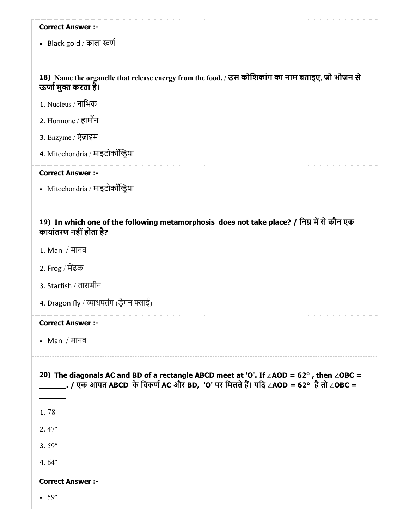• Black gold / काला स्वर्ण

#### 18) Name the organelle that release energy from the food. / उस कोिशकांग का नाम बताइए, जो भोजन से ऊर्जा मुक्त करता है।

| 1. Nucleus / नाभिक |  |
|--------------------|--|
|                    |  |
|                    |  |

- 2. Hormone / हामन
- 3. Enzyme / एंज़ाइम
- 4. Mitochondria / माइटोकॉया

#### Correct Answer :-

Mitochondria / माइटोकॉया

#### 19) In which one of the following metamorphosis does not take place? / निम्न में से कौन एक कायांतरण नहींहोता है?

- 1. Man / मानव
- 2. Frog / मढक
- 3. Starfish / तारामीन
- 4. Dragon fly / व्याधपतंग (ड्रेगन फ्लाई)

#### Correct Answer :-

Man / मानव

20) The diagonals AC and BD of a rectangle ABCD meet at 'O'. If ∠AOD =  $62^{\circ}$ , then ∠OBC = \_\_\_\_\_\_\_\_. / एक आयत ABCD के विकर्ण AC और BD, 'O' पर मिलते हैं। यदि ∠AOD = 62° है तो ∠OBC = \_\_\_\_\_\_ 1. 78° 2. 47° 3. 59° 4. 64° Correct Answer :-

 $\bullet$  59 $\degree$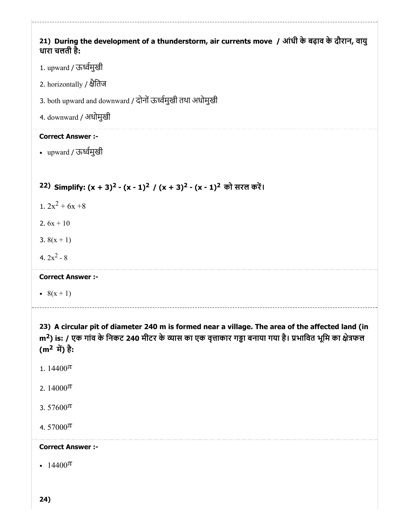# 21) During the development of a thunderstorm, air currents move / आंधी के बढ़ाव के दौरान, वायु धारा चलती है: 1. upward / ऊमुखी 2. horizontally / ैितज 3. both upward and downward / दोनोंऊमुखी तथा अधोमुखी 4. downward / अधोमुखी Correct Answer :-

upward / ऊमुखी

# 22) Simplify:  $(x + 3)^2 - (x - 1)^2 / (x + 3)^2 - (x - 1)^2$  को सरल करें।

- 1.  $2x^2 + 6x +8$
- 2.  $6x + 10$
- 3.  $8(x + 1)$
- 4.  $2x^2 8$

#### Correct Answer :-

•  $8(x + 1)$ 

23) A circular pit of diameter 240 m is formed near a village. The area of the affected land (in m<sup>2</sup>) is: / एक गांव के निकट 240 मीटर के व्यास का एक वृत्ताकार गड्ढा बनाया गया है। प्रभावित भूमि का क्षेत्रफल  $(m^2 \vec{r}) \hat{g}$ :

- 1.  $14400^{\pi}$
- 2.  $14000\pi$
- 3. 57600 $\pi$
- 4.  $57000\pi$

### Correct Answer :-

• 14400 $\pi$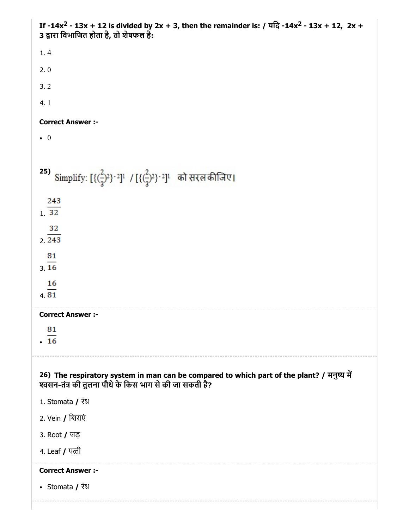If -14x<sup>2</sup> - 13x + 12 is divided by 2x + 3, then the remainder is: / यदि -14x<sup>2</sup> - 13x + 12, 2x + 3 द्वारा विभाजित होता है, तो शेषफल है: 1. 4 2. 0 3. 2 4. 1 Correct Answer :-  $\bullet$  0 25) Simplify:  $[{({2 \over 3})^2}^2]^1$  /  $[{({2 \over 3})^2}^2]^1$  को सरल कीजिए। 243 1. 32  $2.243$ 81  $3.16$ 16 4. Correct Answer :- 81  $.16$ 26) The respiratory system in man can be compared to which part of the plant? / मनुष्य में श्वसन-तंत्र की तुलना पौधे के किस भाग से की जा सकती है? 1. Stomata / रंध्र 2. Vein / िशराएं 3. Root / जड़ 4. Leaf / पती Correct Answer :- • Stomata / रंध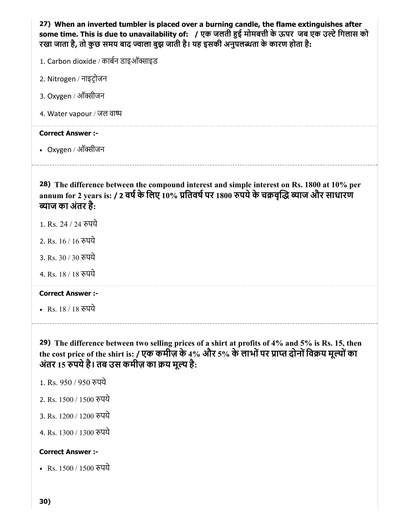27) When an inverted tumbler is placed over a burning candle, the flame extinguishes after some time. This is due to unavailability of: / एक जलती हुई मोमबत्ती के ऊपर जब एक उल्टे गिलास को रखा जाता है, तो कुछ समय बाद ज्वाला बुझ जाती है। यह इसकी अनुपलब्धता के कारण होता है:

- 1. Carbon dioxide / कार्बन डाइऑक्साइड
- 2. Nitrogen / नाइटोजन
- 3. Oxygen / ऑक्सीजन
- 4. Water vapour / जल वा

#### Correct Answer :-

• Oxygen / ऑक्सीजन

28) The difference between the compound interest and simple interest on Rs. 1800 at 10% per annum for 2 years is: / 2 वर्ष के लिए 10% प्रतिवर्ष पर 1800 रुपये के चक्रवृद्धि ब्याज और साधारण **व्याज का अंतर है**:

- 1. Rs. 24 / 24 रुपये
- 2. Rs. 16 / 16 पये
- 3. Rs. 30 / 30 पये
- 4. Rs. 18 / 18 पये

#### Correct Answer :-

• Rs. 18 / 18 रुपये

29) The difference between two selling prices of a shirt at profits of 4% and 5% is Rs. 15, then the cost price of the shirt is: / एक कमीज़ के 4% और 5% के लाभों पर प्राप्त दोनों विक्रय मूल्यों का अंतर 15 रुपये हैं। तब उस कमीज़ का क्रय मूल्य है:

- 1. Rs. 950 / 950 पये
- 2. Rs. 1500 / 1500 पये
- 3. Rs. 1200 / 1200 रुपये
- 4. Rs. 1300 / 1300 पये

#### Correct Answer :-

• Rs. 1500 / 1500 रुपये